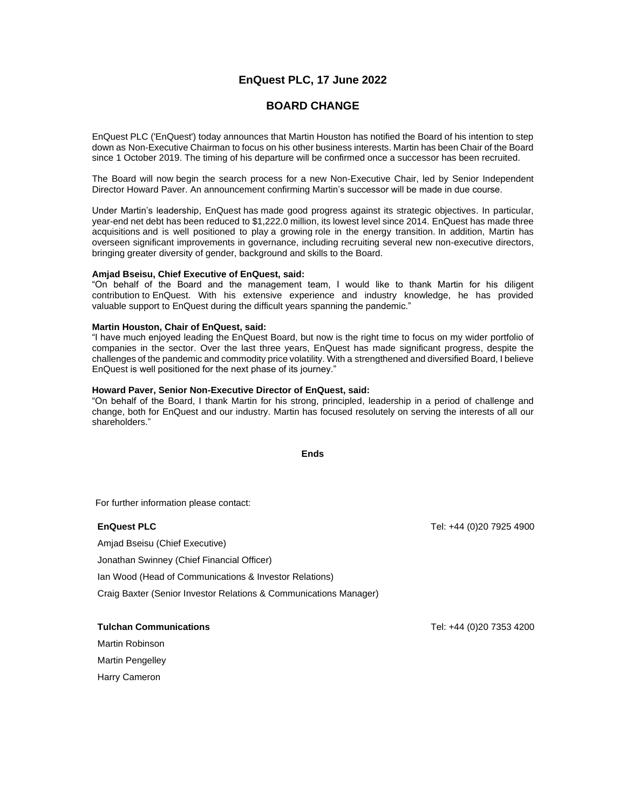# **EnQuest PLC, 17 June 2022**

# **BOARD CHANGE**

EnQuest PLC ('EnQuest') today announces that Martin Houston has notified the Board of his intention to step down as Non-Executive Chairman to focus on his other business interests. Martin has been Chair of the Board since 1 October 2019. The timing of his departure will be confirmed once a successor has been recruited.

The Board will now begin the search process for a new Non-Executive Chair, led by Senior Independent Director Howard Paver. An announcement confirming Martin's successor will be made in due course.

Under Martin's leadership, EnQuest has made good progress against its strategic objectives. In particular, year-end net debt has been reduced to \$1,222.0 million, its lowest level since 2014. EnQuest has made three acquisitions and is well positioned to play a growing role in the energy transition. In addition, Martin has overseen significant improvements in governance, including recruiting several new non-executive directors, bringing greater diversity of gender, background and skills to the Board.

### **Amjad Bseisu, Chief Executive of EnQuest, said:**

"On behalf of the Board and the management team, I would like to thank Martin for his diligent contribution to EnQuest. With his extensive experience and industry knowledge, he has provided valuable support to EnQuest during the difficult years spanning the pandemic."

### **Martin Houston, Chair of EnQuest, said:**

"I have much enjoyed leading the EnQuest Board, but now is the right time to focus on my wider portfolio of companies in the sector. Over the last three years, EnQuest has made significant progress, despite the challenges of the pandemic and commodity price volatility. With a strengthened and diversified Board, I believe EnQuest is well positioned for the next phase of its journey."

### **Howard Paver, Senior Non-Executive Director of EnQuest, said:**

"On behalf of the Board, I thank Martin for his strong, principled, leadership in a period of challenge and change, both for EnQuest and our industry. Martin has focused resolutely on serving the interests of all our shareholders."

**Ends**

For further information please contact:

Amjad Bseisu (Chief Executive)

Jonathan Swinney (Chief Financial Officer)

Ian Wood (Head of Communications & Investor Relations)

Craig Baxter (Senior Investor Relations & Communications Manager)

**Tulchan Communications** Tel: +44 (0)20 7353 4200

Martin Robinson Martin Pengelley Harry Cameron

**EnQuest PLC EnQuest PLC EnQuest PLC EnQuest PLC**